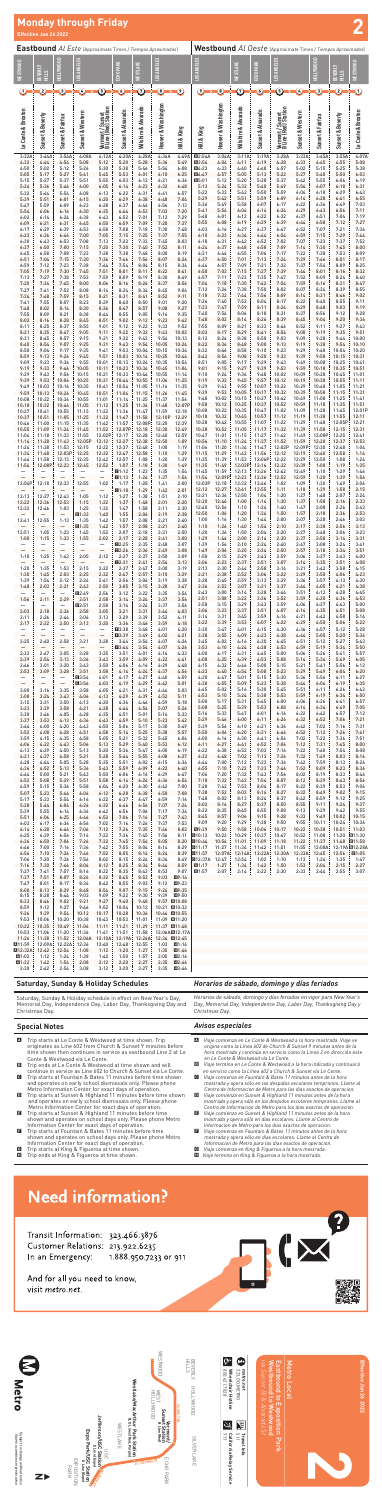Subject to change without notice<br>*Sujeto a cambios sin previo aviso* Subject to change without notice *Sujeto a cambios sin previo aviso*



| <b>Monday through Friday</b><br>$\overline{\mathbf{2}}$<br>Effective Jun 26 2022<br>Westbound Al Oeste (Approximate Times / Tiempos Aproximados)<br><b>Eastbound</b> Al Este (Approximate Times / Tiempos Aproximados) |                                                                                            |                                                                                   |                                                                             |                                                                             |                                                        |                                                     |                                                     |                                                                                          |                                                                          |                                                    |                                                     |                                                     |                                                     |                                                     |                                                    |                                                     |                                                                          |
|------------------------------------------------------------------------------------------------------------------------------------------------------------------------------------------------------------------------|--------------------------------------------------------------------------------------------|-----------------------------------------------------------------------------------|-----------------------------------------------------------------------------|-----------------------------------------------------------------------------|--------------------------------------------------------|-----------------------------------------------------|-----------------------------------------------------|------------------------------------------------------------------------------------------|--------------------------------------------------------------------------|----------------------------------------------------|-----------------------------------------------------|-----------------------------------------------------|-----------------------------------------------------|-----------------------------------------------------|----------------------------------------------------|-----------------------------------------------------|--------------------------------------------------------------------------|
|                                                                                                                                                                                                                        |                                                                                            |                                                                                   |                                                                             |                                                                             |                                                        |                                                     |                                                     |                                                                                          |                                                                          |                                                    |                                                     |                                                     |                                                     |                                                     |                                                    |                                                     |                                                                          |
| <b>WESTWOOD</b>                                                                                                                                                                                                        | BEVERLY<br>HILLS                                                                           | HOLLYWOOD                                                                         | LOS ANGELES                                                                 |                                                                             | ECHO PARK                                              | WESTLAKE                                            | LOS ANGELES                                         |                                                                                          | LOS ANGELES                                                              |                                                    | WESTLAKE                                            | ECHO PARK                                           | <b>LOS ANGELES</b>                                  |                                                     | HOLLYWOOD                                          | BEVERLY<br>STIH H                                   | <b>WESTWOOD</b>                                                          |
| $\rm O$                                                                                                                                                                                                                | ➁                                                                                          | C                                                                                 | $\odot$                                                                     | <u>ඉ</u>                                                                    | $\Omega$                                               | $\odot$                                             | $\textcircled{\scriptsize{s}}$                      | $\bm{\Theta}$                                                                            | $\bm{\Theta}$                                                            | $\bullet$                                          | $\odot$                                             | $\Omega$                                            | ⑤                                                   | $\epsilon$                                          | 3                                                  | ➁                                                   | $\rm O$                                                                  |
| Le Conte & Broxton                                                                                                                                                                                                     | Sunset & Beverly                                                                           | Sunset & Fairfax                                                                  | <b>Sunset &amp; Western</b>                                                 | Vermont / Sunset<br>B Line (Red) Station                                    | Sunset & Alvarado                                      | Wilshire & Alvarado                                 | Hoover & Washington                                 | Hill & King                                                                              | Hill & King                                                              | Hoover & Washington                                | Wilshire & Alvarado                                 | Sunset & Alvarado                                   | Vermont / Sunset<br>B Line (Red) Station            | <b>Sunset &amp; Western</b>                         | Sunset & Fairfax                                   | Sunset & Beverly                                    | Le Conte &Broxton                                                        |
| 3:32A<br>4:32<br>4:50<br>5:05<br>5:15<br>5:24                                                                                                                                                                          | 3:44A<br>4:44<br>5:02<br>5:17<br>5:27<br>5:36                                              | 3:54A<br>4:54<br>5:12<br>5:27<br>5:37<br>5:46                                     | 4:08A<br>5:08<br>5:26<br>5:41<br>5:51<br>6:00                               | 4:12A<br>5:12<br>5:30<br>5:45<br>5:55<br>6:05                               | 4:20A<br>5:20<br>5:38<br>5:53<br>6:03<br>6:14          | 4:28A<br>5:28<br>5:46<br>6:01<br>6:12<br>6:23       | 4:36A<br>5:36<br>5:54<br>6:10<br>6:21<br>6:32       | 4:49A<br>5:49<br>6:08<br>6:25<br>6:36<br>6:48                                            | <b>@2:54A</b><br><b>@3:54</b><br>回4:23<br>G4:47<br>$G5:01$<br>5:13       | 3:04A<br>4:04<br>4:33<br>4:57<br>5:12<br>5:24      | 3:11A<br>4:11<br>4:40<br>5:05<br>5:20<br>5:32       | 3:19A<br>4:19<br>4:48<br>5:13<br>5:28<br>5:40       | 3:28A<br>4:28<br>4:57<br>5:22<br>5:37<br>5:49       | 3:33A<br>4:33<br>5:02<br>5:27<br>5:42<br>5:54       | 3:45A<br>4:45<br>5:15<br>5:40<br>5:55<br>6:07      | 3:55A<br>4:55<br>5:25<br>5:50<br>6:06<br>6:18       | 4:07A<br>5:08<br>5:38<br>6:03<br>6:19<br>6:31                            |
| 5:32<br>5:39<br>5:47<br>5:54<br>6:02<br>6:09                                                                                                                                                                           | 5:44<br>5:51<br>5:59<br>6:06<br>6:14<br>6:21                                               | 5:54<br>6:01<br>6:09<br>6:16<br>6:24<br>6:31                                      | 6:08<br>6:15<br>6:23<br>6:30<br>6:38<br>6:45                                | 6:13<br>6:20<br>6:28<br>6:35<br>6:43<br>6:50                                | 6:22<br>6:29<br>6:37<br>6:44<br>6:52<br>6:59           | 6:31<br>6:38<br>6:46<br>6:53<br>7:01<br>7:09        | 6:41<br>6:48<br>6:56<br>7:03<br>7:12<br>7:20        | 6:57<br>7:04<br>7:13<br>7:20<br>7:29<br>7:37                                             | 5:22<br>5:29<br>5:36<br>5:41<br>5:48<br>5:55                             | 5:33<br>5:42<br>5:49<br>5:54<br>6:01<br>6:08       | 5:42<br>5:51<br>5:58<br>6:04<br>6:12<br>6:19        | 5:50<br>5:59<br>6:07<br>6:14<br>6:22<br>6:29        | 5:59<br>6:09<br>6:17<br>6:24<br>6:32<br>6:39        | 6:04<br>6:14<br>6:22<br>6:29<br>6:37<br>6:44        | 6:18<br>6:28<br>6:36<br>6:43<br>6:51<br>6:58       | 6:29<br>6:41<br>6:49<br>6:56<br>7:04<br>7:12        | 6:43<br>6:55<br>7:03<br>7:11<br>7:19<br>7:27                             |
| 6:17<br>6:23<br>6:30<br>6:37<br>6:45                                                                                                                                                                                   | 6:29<br>6:36<br>6:43<br>6:50<br>6:58                                                       | 6:39<br>6:46<br>6:53<br>7:00<br>7:08                                              | 6:53<br>7:00<br>7:08<br>7:15<br>7:23                                        | 6:58<br>7:05<br>7:13<br>7:20<br>7:28                                        | 7:08<br>7:15<br>7:23<br>7:30<br>7:38                   | 7:18<br>7:25<br>7:33<br>7:40<br>7:48                | 7:30<br>7:37<br>7:45<br>7:52<br>8:00                | 7:48<br>7:55<br>8:03<br>8:11<br>8:19                                                     | 6:03<br>6:10<br>6:18<br>6:24<br>6:31                                     | 6:16<br>6:23<br>6:31<br>6:37<br>6:44               | 6:27<br>6:34<br>6:42<br>6:48<br>6:55                | 6:37<br>6:44<br>6:52<br>6:58<br>7:06                | 6:47<br>6:54<br>7:02<br>7:09<br>7:17                | 6:52<br>6:59<br>7:07<br>7:14<br>7:22                | 7:07<br>7:15<br>7:23<br>7:30<br>7:38               | 7:21<br>7:29<br>7:37<br>7:45<br>7:53                | 7:36<br>7:44<br>7:52<br>8:00<br>8:09                                     |
| 6:51<br>6:59<br>7:05<br>7:13<br>7:20<br>7:27                                                                                                                                                                           | 7:04<br>7:12<br>7:19<br>7:27<br>7:34<br>7:41                                               | 7:15<br>7:23<br>7:30<br>7:38<br>7:45<br>7:52                                      | 7:30<br>7:38<br>7:45<br>7:53<br>8:00<br>8:08                                | 7:36<br>7:44<br>7:51<br>7:59<br>8:06<br>8:14                                | 7:46<br>7:54<br>8:01<br>8:09<br>8:16<br>8:24           | 7:56<br>8:04<br>8:11<br>8:19<br>8:26<br>8:34        | 8:07<br>8:15<br>8:22<br>8:30<br>8:37<br>8:45        | 8:26<br>8:34<br>8:41<br>8:49<br>8:56<br>9:04                                             | 6:37<br>6:44<br>6:50<br>6:57<br>7:04<br>7:12                             | 6:50<br>6:57<br>7:03<br>7:11<br>7:18<br>7:26       | 7:01<br>7:09<br>7:15<br>7:23<br>7:30<br>7:38        | 7:13<br>7:21<br>7:27<br>7:35<br>7:42<br>7:50        | 7:24<br>7:32<br>7:39<br>7:47<br>7:54<br>8:02        | 7:29<br>7:37<br>7:44<br>7:52<br>7:59<br>8:07        | 7:46<br>7:54<br>8:01<br>8:09<br>8:16<br>8:24       | 8:01<br>8:09<br>8:16<br>8:24<br>8:31<br>8:39        | 8:17<br>8:25<br>8:32<br>8:40<br>8:47<br>8:55                             |
| 7:34<br>7:41<br>7:48<br>7:55<br>8:02<br>8:11                                                                                                                                                                           | 7:48<br>7:55<br>8:02<br>8:09<br>8:16<br>8:25                                               | 7:59<br>8:07<br>8:14<br>8:21<br>8:28<br>8:37                                      | 8:15<br>8:23<br>8:30<br>8:38<br>8:45<br>8:55                                | 8:21<br>8:29<br>8:36<br>8:44<br>8:51<br>9:01                                | 8:31<br>8:40<br>8:47<br>8:55<br>9:02<br>9:12           | 8:41<br>8:50<br>8:57<br>9:05<br>9:12<br>9:22        | 8:52<br>9:01<br>9:08<br>9:16<br>9:23<br>9:33        | 9:11<br>9:20<br>9:27<br>9:35<br>9:42<br>9:52                                             | 7:18<br>7:26<br>7:33<br>7:40<br>7:48<br>7:55                             | 7:32<br>7:40<br>7:47<br>7:54<br>8:02<br>8:09       | 7:44<br>7:52<br>7:59<br>8:06<br>8:14<br>8:21        | 7:56<br>8:04<br>8:11<br>8:18<br>8:26<br>8:33        | 8:09<br>8:17<br>8:24<br>8:31<br>8:39<br>8:46        | 8:14<br>8:22<br>8:29<br>8:37<br>8:45<br>8:52        | 8:31<br>8:40<br>8:48<br>8:56<br>9:04<br>9:11       | 8:46<br>8:55<br>9:03<br>9:12<br>9:20<br>9:27        | 9:02<br>9:11<br>9:19<br>9:28<br>9:36<br>9:43                             |
| 8:21<br>8:31<br>8:40<br>8:50<br>8:59                                                                                                                                                                                   | 8:35<br>8:45<br>8:54<br>9:04<br>9:13                                                       | 8:47<br>8:57<br>9:07<br>9:17<br>9:26                                              | 9:05<br>9:15<br>9:25<br>9:35<br>9:45                                        | 9:11<br>9:21<br>9:31<br>9:41<br>9:51                                        | 9:22<br>9:32<br>9:43<br>9:53<br>10:03                  | 9:32<br>9:43<br>9:54<br>10:04<br>10:14              | 9:43<br>9:54<br>10:05<br>10:15<br>10:25             | 10:02<br>10:13<br>10:24<br>10:34<br>10:44                                                | 8:03<br>8:12<br>8:22<br>8:32<br>8:42                                     | 8:17<br>8:26<br>8:36<br>8:46<br>8:56               | 8:29<br>8:38<br>8:48<br>8:58<br>9:08                | 8:41<br>8:50<br>9:00<br>9:10<br>9:20                | 8:54<br>9:03<br>9:13<br>9:23<br>9:33                | 9:00<br>9:09<br>9:19<br>9:29<br>9:39                | 9:19<br>9:28<br>9:38<br>9:48<br>9:58               | 9:35<br>9:44<br>9:54<br>10:04<br>10:15              | 9:51<br>10:00<br>10:10<br>10:20<br>10:31                                 |
| 9:09<br>9:19<br>9:29<br>9:39<br>9:49<br>9:59                                                                                                                                                                           | 9:23<br>9:33<br>9:43<br>9:53<br>10:03<br>10:13                                             | 9:36<br>9:46<br>9:56<br>10:06<br>10:16<br>10:26                                   | 9:55<br>10:05<br>10:15<br>10:25<br>10:35<br>10:45                           | 10:01<br>10:11<br>10:21<br>10:31<br>10:41<br>10:51                          | 10:13<br>10:23<br>10:33<br>10:44<br>10:54<br>11:04     | 10:24<br>10:34<br>10:44<br>10:55<br>11:05<br>11:15  | 10:35<br>10:45<br>10:55<br>11:06<br>11:16<br>11:26  | 10:54<br>11:04<br>11:14<br>11:25<br>11:35<br>11:45                                       | 8:51<br>9:01<br>9:10<br>9:19<br>9:29<br>9:39                             | 9:05<br>9:15<br>9:24<br>9:33<br>9:43<br>9:53       | 9:17<br>9:27<br>9:36<br>9:45<br>9:55<br>10:05       | 9:29<br>9:39<br>9:48<br>9:57<br>10:07<br>10:17      | 9:43<br>9:53<br>10:02<br>10:12<br>10:22<br>10:32    | 9:49<br>9:59<br>10:09<br>10:19<br>10:29<br>10:39    | 10:08<br>10:18<br>10:28<br>10:38<br>10:48<br>10:58 | 10:25<br>10:35<br>10:45<br>10:55<br>11:05<br>11:15  | 10:41<br>10:51<br>11:01<br>11:11<br>11:21<br>11:31                       |
| 10:08<br>10:18<br>10:27<br>10:37<br>10:46<br>10:55                                                                                                                                                                     | 10:22<br>10:32<br>10:41<br>10:51<br>11:00<br>11:09                                         | 10:36<br>10:46<br>10:55<br>11:05<br>11:15<br>11:24                                | 10:55<br>11:05<br>11:15<br>11:25<br>11:35<br>11:45                          | 11:01<br>11:12<br>11:22<br>11:32<br>11:42<br>11:52                          | 11:14<br>11:25<br>11:36<br>11:47<br>11:57<br>12:07P    | 11:25<br>11:36<br>11:47<br>11:58<br>12:08P<br>12:18 | 11:37<br>11:48<br>11:59<br>12:10P<br>12:20<br>12:30 | 11:56<br>12:07P<br>12:18<br>12:29<br>12:39<br>12:49                                      | 9:48<br>9:58<br>10:08<br>10:18<br>10:28<br>10:38                         | 10:02<br>10:12<br>10:22<br>10:32<br>10:42<br>10:52 | 10:15<br>10:25<br>10:35<br>10:45<br>10:55<br>11:05  | 10:27<br>10:37<br>10:47<br>10:57<br>11:07<br>11:17  | 10:42<br>10:52<br>11:02<br>11:12<br>11:22<br>11:32  | 10:49<br>10:59<br>11:09<br>11:19<br>11:29<br>11:39  | 11:08<br>11:18<br>11:28<br>11:38<br>11:48<br>11:58 | 11:25<br>11:35<br>11:45<br>11:55<br>12:05P<br>12:15 | 11:41<br>11:51<br>12:01P<br>12:11<br>12:21<br>12:31                      |
| 11:04<br>11:14<br>11:24<br>11:34<br>11:44                                                                                                                                                                              | 11:18<br>11:28<br>11:38<br>11:48<br>11:58                                                  | 11:33<br>11:43<br>11:53<br>12:03P<br>12:13                                        | 11:55<br>12:05P<br>12:15<br>12:25<br>12:35                                  | 12:02P<br>12:12<br>12:22<br>12:32<br>12:42                                  | 12:17<br>12:27<br>12:37<br>12:47<br>12:57              | 12:28<br>12:38<br>12:48<br>12:58<br>1:08            | 12:40<br>12:50<br>1:00<br>1:10<br>1:20              | 12:59<br>1:09<br>1:19<br>1:29<br>1:39                                                    | 10:47<br>10:56<br>11:06<br>11:15<br>11:25<br>11:35                       | 11:01<br>11:10<br>11:20<br>11:29<br>11:39<br>11:49 | 11:15<br>11:24<br>11:34<br>11:43<br>11:53<br>12:03P | 11:27<br>11:37<br>11:47<br>11:56<br>12:06P<br>12:16 | 11:42<br>11:52<br>12:02P<br>12:12<br>12:22<br>12:32 | 11:49<br>11:59<br>12:09P<br>12:19<br>12:29<br>12:39 | 12:08P<br>12:20<br>12:30<br>12:40<br>12:50<br>1:00 | 12:25<br>12:37<br>12:48<br>12:58<br>1:08<br>1:19    | 12:41<br>12:53<br>1:04<br>1:14<br>1:24<br>1:35                           |
| 11:54<br>-<br>$\overline{\phantom{0}}$<br>12:04P<br>12:13                                                                                                                                                              | 12:08P<br>—<br>$\overline{\phantom{0}}$<br>12:18<br>12:27                                  | 12:23<br>—<br>$\overline{\phantom{0}}$<br>12:33<br>12:43                          | 12:45<br>$\qquad \qquad -$<br>$\equiv$<br>12:55<br>1:05                     | 12:52<br>-<br>$\overline{\phantom{0}}$<br>1:02<br>$\qquad \qquad -$<br>1:12 | 1:07<br>01:12<br>01:13<br>1:17<br>01:18<br>1:27        | 1:18<br>1:23<br>1:24<br>1:28<br>1:29<br>1:38        | 1:30<br>1:35<br>1:37<br>1:41<br>1:42<br>1:51        | 1:49<br>1:54<br>1:56<br>2:00<br>2:01<br>2:10                                             | 11:45<br>11:54<br>12:03P<br>12:12<br>12:21                               | 11:59<br>12:09P<br>12:18<br>12:27<br>12:36         | 12:13<br>12:23<br>12:32<br>12:41<br>12:50           | 12:26<br>12:36<br>12:46<br>12:55<br>1:04            | 12:42<br>12:52<br>1:02<br>1:11<br>1:20              | 12:49<br>12:59<br>1:09<br>1:18<br>1:27              | 1:10<br>1:20<br>1:30<br>1:39<br>1:48               | 1:29<br>1:39<br>1:49<br>1:58<br>2:07                | 1:46<br>1:56<br>2:06<br>2:15<br>2:24                                     |
| 12:22<br>12:32<br>12:41<br>12:51                                                                                                                                                                                       | 12:36<br>12:46<br>$\overbrace{\phantom{1232211}}$<br>12:55<br>1:05                         | 12:53<br>1:03<br>$\qquad \qquad -$<br>1:13<br>$\qquad \qquad -$<br>1:23           | 1:15<br>1:25<br>■1:33<br>1:35<br>回1:35<br>1:45                              | 1:22<br>1:32<br>1:40<br>1:42<br>1:42<br>1:52                                | 1:37<br>1:47<br>1:55<br>1:57<br>1:57<br>2:07           | 1:48<br>1:58<br>2:06<br>2:08<br>2:08<br>2:18        | 2:01<br>2:11<br>2:19<br>2:21<br>2:21<br>2:31        | 2:20<br>2:30<br>2:38<br>2:40<br>2:40<br>2:50                                             | 12:30<br>12:40<br>12:50<br>1:00<br>1:10<br>1:20                          | 12:46<br>12:56<br>1:06<br>1:16<br>1:26<br>1:36     | 1:00<br>1:10<br>1:20<br>1:30<br>1:40<br>1:50        | 1:14<br>1:24<br>1:34<br>1:44<br>1:54<br>2:04        | 1:30<br>1:40<br>1:50<br>2:00<br>2:10<br>2:20        | 1:37<br>1:47<br>1:57<br>2:07<br>2:17<br>2:27        | 1:58<br>2:08<br>2:18<br>2:28<br>2:38<br>2:48       | 2:16<br>2:26<br>2:36<br>2:46<br>2:56<br>3:06        | 2:33<br>2:43<br>2:53<br>3:03<br>3:13<br>3:23                             |
| 1:00<br>—<br>—<br>1:10<br>1:20                                                                                                                                                                                         | 1:15<br>$\qquad \qquad -$<br>$\overline{\phantom{0}}$<br>1:25<br>$\qquad \qquad -$<br>1:35 | 1:33<br>—<br>$\overline{\phantom{0}}$<br>1:43<br>$\qquad \qquad$<br>1:53          | 1:55<br>—<br>$\overline{\phantom{0}}$<br>2:05<br>$\qquad \qquad -$<br>2:15  | 2:02<br>—<br>$\qquad \qquad -$<br>2:12<br>$\overline{\phantom{m}}$<br>2:22  | 2:17<br>Q2:25<br>Q2:26<br>2:27<br><b>C2:31</b><br>2:37 | 2:28<br>2:35<br>2:36<br>2:37<br>2:41<br>2:47        | 2:41<br>2:48<br>2:49<br>2:50<br>2:54<br>3:00        | 3:00<br>3:07<br>3:08<br>3:09<br>3:13<br>3:19                                             | 1:29<br>1:39<br>1:49<br>1:58<br>2:06<br>2:13                             | 1:46<br>1:56<br>2:06<br>2:15<br>2:23<br>2:30       | 2:00<br>2:10<br>2:20<br>2:29<br>2:37<br>2:44        | 2:14<br>2:24<br>2:34<br>2:43<br>2:51<br>2:58        | 2:30<br>2:40<br>2:50<br>2:59<br>3:07<br>3:14        | 2:37<br>2:47<br>2:57<br>3:06<br>3:14<br>3:21        | 2:58<br>3:08<br>3:18<br>3:27<br>3:35<br>3:42       | 3:14<br>3:24<br>3:34<br>3:43<br>3:51<br>3:58        | 3:31<br>3:41<br>3:51<br>4:00<br>4:08<br>4:15                             |
| 1:30<br>1:39<br>1:48<br>1:56                                                                                                                                                                                           | 1:45<br>1:54<br>2:03<br>2:11                                                               | 2:03<br>2:12<br>2:21<br>$\overline{\phantom{0}}$<br>2:29                          | 2:25<br>2:34<br>2:43<br>回2:49<br>2:51                                       | 2:32<br>2:41<br>2:50<br>2:56<br>2:58                                        | 2:47<br>2:56<br>3:05<br>3:12<br>3:14                   | 2:57<br>3:06<br>3:15<br>3:22<br>3:24                | 3:10<br>3:19<br>3:28<br>3:35<br>3:37                | 3:29<br>3:38<br>3:47<br>3:54<br>3:56                                                     | 2:21<br>2:28<br>2:36<br>2:43<br>2:51                                     | 2:38<br>2:45<br>2:53<br>3:00<br>3:08               | 2:52<br>2:59<br>3:07<br>3:14<br>3:22                | 3:06<br>3:13<br>3:21<br>3:28<br>3:36                | 3:22<br>3:29<br>3:37<br>3:44<br>3:52                | 3:29<br>3:36<br>3:44<br>3:51<br>3:59                | 3:50<br>3:57<br>4:05<br>4:12<br>4:20               | 4:06<br>4:13<br>4:21<br>4:28<br>4:36                | 4:23<br>4:30<br>4:38<br>4:45<br>4:53                                     |
| 2:03<br>2:11<br>2:17<br>$\qquad \qquad -$<br>—                                                                                                                                                                         | $\qquad \qquad -$<br>2:18<br>2:26<br>2:32<br>$\overline{\phantom{0}}$                      | -<br>2:36<br>2:44<br>2:50<br>$\overline{\phantom{0}}$<br>$\overline{\phantom{0}}$ | D2:51<br>2:58<br>3:06<br>3:13<br>$\overline{\phantom{0}}$<br>$\overline{a}$ | 2:58<br>3:05<br>3:13<br>3:20<br>—<br>$\equiv$                               | 3:14<br>3:21<br>3:29<br>3:36<br>■3:38<br>■3:39         | 3:24<br>3:31<br>3:39<br>3:46<br>3:48<br>3:49        | 3:37<br>3:44<br>3:52<br>3:59<br>4:01<br>4:02        | 3:56<br>4:03<br>4:11<br>4:18<br>4:20<br>4:21                                             | 2:58<br>3:06<br>3:14<br>3:22<br>3:30<br>3:38                             | 3:15<br>3:23<br>3:31<br>3:39<br>3:47<br>3:55       | 3:29<br>3:37<br>3:45<br>3:53<br>4:01<br>4:09        | 3:43<br>3:51<br>3:59<br>4:07<br>4:15<br>4:23        | 3:59<br>4:07<br>4:14<br>4:22<br>4:30<br>4:38        | 4:06<br>4:14<br>4:21<br>4:29<br>4:36<br>4:44        | 4:27<br>4:35<br>4:42<br>4:50<br>4:57<br>5:05       | 4:43<br>4:51<br>4:58<br>5:06<br>5:12<br>5:20        | 5:00<br>5:08<br>5:14<br>5:22<br>5:28<br>5:36                             |
| 2:25<br>2:32<br>2:39<br>2:46<br>2:53                                                                                                                                                                                   | 2:40<br>$\overline{\phantom{0}}$<br>2:47<br>2:54<br>3:01<br>3:09                           | 2:58<br>$\overline{\phantom{0}}$<br>3:05<br>3:13<br>3:20<br>3:28                  | 3:21<br>$\qquad \qquad -$<br>3:28<br>3:36<br>3:43<br>3:51                   | 3:28<br>$\overline{\phantom{0}}$<br>3:35<br>3:43<br>3:50<br>3:58            | 3:44<br>■3:44<br>3:51<br>3:59<br>4:06<br>4:14          | 3:54<br>3:54<br>4:01<br>4:09<br>4:16<br>4:24        | 4:07<br>4:07<br>4:14<br>4:22<br>4:29<br>4:37        | 4:26<br>4:26<br>4:33<br>4:41<br>4:48<br>4:56                                             | 3:45<br>3:53<br>4:00<br>4:08<br>4:15<br>4:23                             | 4:02<br>4:10<br>4:17<br>4:25<br>4:32<br>4:40       | 4:16<br>4:24<br>4:31<br>4:39<br>4:46<br>4:54        | 4:30<br>4:38<br>4:45<br>4:53<br>5:00<br>5:08        | 4:45<br>4:53<br>5:00<br>5:08<br>5:15<br>5:23        | 4:51<br>4:59<br>5:06<br>5:14<br>5:21<br>5:29        | 5:12<br>5:19<br>5:26<br>5:34<br>5:41<br>5:49       | 5:27<br>5:34<br>5:41<br>5:49<br>5:56<br>6:04        | 5:43<br>5:50<br>5:57<br>6:05<br>6:12<br>6:20                             |
| -<br>3:00<br>3:08<br>3:15<br>3:23                                                                                                                                                                                      | -<br>$\overline{\phantom{0}}$<br>3:16<br>3:24<br>3:31<br>3:39                              | —<br>$\overline{\phantom{0}}$<br>3:35<br>3:43<br>3:50<br>3:58                     | ■3:54<br>■3:56<br>3:58<br>4:06<br>4:13<br>4:21                              | 4:01<br>4:03<br>4:05<br>4:13<br>4:20<br>4:28                                | 4:17<br>4:19<br>4:21<br>4:29<br>4:36<br>4:44           | 4:27<br>4:29<br>4:31<br>4:39<br>4:46<br>4:54        | 4:40<br>4:42<br>4:44<br>4:52<br>4:59<br>5:07        | 4:59<br>5:01<br>5:03<br>5:11<br>5:18<br>5:26                                             | 4:30<br>4:38<br>4:45<br>4:53<br>5:00<br>5:08                             | 4:47<br>4:55<br>5:02<br>5:10<br>5:17<br>5:25       | 5:01<br>5:09<br>5:16<br>5:24<br>5:31<br>5:39        | 5:15<br>5:23<br>5:30<br>5:38<br>5:45<br>5:53        | 5:30<br>5:38<br>5:45<br>5:53<br>6:00<br>6:08        | 5:36<br>5:44<br>5:51<br>5:59<br>6:06<br>6:14        | 5:56<br>6:04<br>6:11<br>6:19<br>6:26<br>6:34       | 6:11<br>6:19<br>6:26<br>6:34<br>6:41<br>6:49        | 6:27<br>6:35<br>6:42<br>6:50<br>6:57<br>7:05                             |
| 3:30<br>3:37<br>3:44<br>3:52<br>3:59                                                                                                                                                                                   | 3:46<br>3:53<br>4:00<br>4:08<br>4:15                                                       | 4:05<br>4:13<br>4:20<br>4:28<br>4:35                                              | 4:28<br>4:36<br>4:43<br>4:51<br>4:58                                        | 4:35<br>4:43<br>4:50<br>4:58<br>5:05                                        | 4:51<br>4:59<br>5:06<br>5:14<br>5:21                   | 5:01<br>5:10<br>5:17<br>5:25<br>5:32                | 5:14<br>5:23<br>5:30<br>5:38<br>5:45                | 5:33<br>5:42<br>5:49<br>5:57<br>6:04                                                     | 5:16<br>5:29<br>5:39<br>5:50<br>6:00<br>6:11                             | 5:33<br>5:46<br>5:56<br>6:06<br>6:16<br>6:27       | 5:47<br>6:00<br>6:10<br>6:20<br>6:30<br>6:41        | 6:01<br>6:11<br>6:21<br>6:31<br>6:41<br>6:52        | 6:16<br>6:26<br>6:36<br>6:46<br>6:56<br>7:06        | 6:22<br>6:32<br>6:42<br>6:52<br>7:02<br>7:12        | 6:42<br>6:52<br>7:02<br>7:12<br>7:22<br>7:31       | 6:57<br>7:06<br>7:16<br>7:26<br>7:36<br>7:45        | 7:12<br>7:21<br>7:31<br>7:41<br>7:51<br>8:00                             |
| 4:06<br>4:13<br>4:21<br>4:28<br>4:36<br>4:44                                                                                                                                                                           | 4:22<br>4:29<br>4:37<br>4:44<br>4:52<br>5:00                                               | 4:43<br>4:50<br>4:58<br>5:05<br>5:13<br>5:21                                      | 5:06<br>5:13<br>5:21<br>5:28<br>5:36<br>5:43                                | 5:13<br>5:20<br>5:28<br>5:35<br>5:43<br>5:50                                | 5:29<br>5:36<br>5:44<br>5:51<br>5:59<br>6:06           | 5:40<br>5:47<br>5:55<br>6:02<br>6:09<br>6:16        | 5:53<br>6:00<br>6:08<br>6:15<br>6:22<br>6:29        | 6:12<br>6:19<br>6:27<br>6:34<br>6:40<br>6:47                                             | 6:22<br>6:32<br>6:44<br>6:55<br>7:06                                     | 6:38<br>6:48<br>7:00<br>7:10<br>7:20               | 6:52<br>7:02<br>7:12<br>7:22<br>7:32                | 7:03<br>7:13<br>7:23<br>7:33<br>7:43                | 7:16<br>7:26<br>7:36<br>7:46<br>7:56                | 7:22<br>7:32<br>7:42<br>7:52<br>8:02                | 7:40<br>7:49<br>7:59<br>8:09<br>8:19               | 7:54<br>8:03<br>8:13<br>8:23<br>8:33                | 8:08<br>8:16<br>8:26<br>8:36<br>8:46                                     |
| 4:52<br>4:59<br>5:07<br>5:17<br>5:28<br>5:39                                                                                                                                                                           | 5:08<br>5:15<br>5:23<br>5:33<br>5:44<br>5:55                                               | 5:29<br>5:36<br>5:44<br>5:54<br>6:04<br>6:14                                      | 5:51<br>5:58<br>6:06<br>6:16<br>6:26<br>6:36                                | 5:58<br>6:04<br>6:12<br>6:22<br>6:32<br>6:42                                | 6:14<br>6:20<br>6:28<br>6:37<br>6:46<br>6:56           | 6:24<br>6:30<br>6:38<br>6:47<br>6:56<br>7:06        | 6:36<br>6:42<br>6:50<br>6:59<br>7:07<br>7:17        | 6:54<br>7:00<br>7:08<br>7:16<br>7:24<br>7:34                                             | 7:18<br>7:28<br>7:38<br>7:48<br>8:02<br>8:22                             | 7:32<br>7:42<br>7:52<br>8:02<br>8:16<br>8:35       | 7:43<br>7:53<br>8:03<br>8:13<br>8:27<br>8:45        | 7:54<br>8:04<br>8:14<br>8:24<br>8:37<br>8:55        | 8:07<br>8:17<br>8:27<br>8:37<br>8:50<br>9:08        | 8:12<br>8:22<br>8:32<br>8:42<br>8:55<br>9:13        | 8:29<br>8:39<br>8:49<br>8:59<br>9:11<br>9:29       | 8:43<br>8:53<br>9:02<br>9:12<br>9:24<br>9:42        | 8:56<br>9:06<br>9:15<br>9:25<br>9:37<br>9:55                             |
| 5:51<br>6:03<br>6:14<br>6:25<br>6:36                                                                                                                                                                                   | 6:06<br>6:17<br>6:28<br>6:39<br>6:50                                                       | 6:25<br>6:36<br>6:46<br>6:56<br>7:06                                              | 6:46<br>6:56<br>7:06<br>7:16<br>7:26                                        | 6:52<br>7:02<br>7:12<br>7:22<br>7:32                                        | 7:06<br>7:16<br>7:26<br>7:36<br>7:45                   | 7:16<br>7:26<br>7:35<br>7:45<br>7:54<br>8:04        | 7:27<br>7:37<br>7:46<br>7:56<br>8:05                | 7:43<br>7:53<br>8:02<br>8:11<br>8:20<br>8:29                                             | 8:45<br>9:09<br><b>G9:39</b><br><b>图10:12</b><br><b>图10:44</b><br>611:17 | 8:57<br>9:20<br>9:50<br>10:22<br>10:54<br>11:27    | 9:06<br>9:29<br>9:58<br>10:29<br>11:01<br>11:34     | 9:15<br>9:38<br>10:06<br>10:37<br>11:09<br>11:42    | 9:28<br>9:50<br>10:17<br>10:47<br>11:18<br>11:51    | 9:33<br>9:55<br>10:22<br>10:52<br>11:22<br>11:55    | 9:49<br>10:11<br>10:38<br>11:08<br>11:37<br>12:08A | 10:02<br>10:24<br>10:51                             | 10:15<br>10:36<br>11:03<br>11:20 311:30<br>11:48 311:58<br>12:19AB12:28A |
| 6:46<br>6:56<br>7:06<br>7:16<br>7:27<br>7:37                                                                                                                                                                           | 7:00<br>7:10<br>7:20<br>7:30<br>7:41<br>7:51                                               | 7:16<br>7:26<br>7:36<br>7:46<br>7:57<br>8:07                                      | 7:36<br>7:46<br>7:56<br>8:06<br>8:16<br>8:26                                | 7:42<br>7:52<br>8:02<br>8:12<br>8:22<br>8:32                                | 7:55<br>8:05<br>8:15<br>8:25<br>8:35<br>8:45           | 8:14<br>8:24<br>8:34<br>8:43<br>8:53                | 8:14<br>8:24<br>8:34<br>8:44<br>8:53<br>9:03        | 8:39<br>8:49<br>8:59<br>9:07<br>Ⅲ9:14                                                    | 011:57<br><b>C</b> 12:37A<br>G1:17<br>G1:57                              | 12:07A<br>12:47<br>1:27<br>2:07                    | 12:14A<br>12:54<br>1:34<br>2:14                     | 12:22A<br>1:02<br>1:42<br>2:22                      | 12:30A<br>1:10<br>1:50<br>2:30                      | 12:33A<br>1:13<br>1:53<br>2:33                      | 12:45<br>1:24<br>2:04<br>2:44                      | 12:56<br>1:35<br>2:15<br>2:55                       | ■1:05<br>1:47<br>2:27<br>3:07                                            |
| 7:47<br>8:00<br>8:15<br>8:33<br>8:59<br>9:26                                                                                                                                                                           | 8:01<br>8:13<br>8:28<br>8:46<br>9:12<br>9:39                                               | 8:17<br>8:29<br>8:44<br>9:02<br>9:27<br>9:54                                      | 8:36<br>8:48<br>9:03<br>9:21<br>9:46<br>10:12                               | 8:42<br>8:54<br>9:09<br>9:27<br>9:52<br>10:17                               | 8:55<br>9:07<br>9:22<br>9:40<br>10:04<br>10:28         | 9:03<br>9:15<br>9:30<br>9:48<br>10:12<br>10:36      | 9:12<br>9:24<br>9:39                                | $\Pi$ 9:23<br>Ⅲ9:35<br>Ⅲ9:50<br>9:57 010:08<br>10:21 010:32<br>10:44 210:55              |                                                                          |                                                    |                                                     |                                                     |                                                     |                                                     |                                                    |                                                     |                                                                          |
| 9:53<br>10:22<br>10:53<br>11:26<br>A11:59<br>A12:32A                                                                                                                                                                   | 10:06<br>10:35<br>11:06<br>11:38<br>12:09A<br>12:42                                        | 10:20<br>10:49<br>11:20<br>11:52<br>12:22A<br>12:54                               | 10:38<br>11:06<br>11:36<br>12:06A<br>12:36<br>1:08                          | 10:43<br>11:11<br>11:41<br>12:10A<br>12:40<br>1:12                          | 10:53<br>11:21<br>11:51<br>12:19A<br>12:48<br>1:20     | 11:01<br>11:29<br>11:58<br>12:26A<br>12:55<br>1:27  | 1:03<br>1:35                                        | 11:09 211:20<br>11:37 011:48<br>12:06AM12:17A<br>12:34 012:45<br>$\Pi$ 1:14<br>$\Pi1:46$ |                                                                          |                                                    |                                                     |                                                     |                                                     |                                                     |                                                    |                                                     |                                                                          |
| A1:02<br>■1:32<br>2:30                                                                                                                                                                                                 | 1:12<br>1:42<br>2:42                                                                       | 1:24<br>1:54<br>2:54                                                              | 1:38<br>2:08<br>3:08                                                        | 1:42<br>2:12<br>3:12                                                        | 1:50<br>2:20<br>3:20                                   | 1:57<br>2:27<br>3:27                                | 2:05<br>2:35<br>3:35                                | $\Pi2:16$<br>$\Pi$ 2:46<br>$\Pi$ 3:46                                                    |                                                                          |                                                    |                                                     |                                                     |                                                     |                                                     |                                                    |                                                     |                                                                          |

**2**

**Effective Jun 26 2022**

Effective Jun 26 2022





### **Saturday, Sunday & Holiday Schedules**

Saturday, Sunday & Holiday schedule in effect on New Year's Day, Memorial Day, Independence Day, Labor Day, Thanksgiving Day and Christmas Day.

*Horarios de sábado, domingo y días feriados*

*Horarios de sábado, domingo y días feriados en vigor para New Year's Day, Memorial Day, Independence Day, Labor Day, Thanksgiving Day y Christmas Day.*

### **Special Notes**

- **A** Trip starts at Le Conte & Westwood at time shown. Trip originates as Line 602 from Church & Sunset 9 minutes before time shown then continues in service as eastbound Line 2 at Le Conte & Westwood via Le Conte.
- B Trip ends at Le Conte & Westwood at time shown and will
- continue in service as Line 602 to Church & Sunset via Le Conte. **C** Trip starts at Fountain & Bates 11 minutes before time shown and operates on early school dismissals only. Please phone Metro Information Center for exact days of operation.
- **D** Trip starts at Sunset & Highland 11 minutes before time shown and operates on early school dismissals only. Please phone Metro Information Center for exact days of operation.
- **E** Trip starts at Sunset & Highland 11 minutes before time shown and operates on school days only. Please phone Metro Information Center for exact days of operation.
- **E** Trip starts at Fountain & Bates 11 minutes before time shown and operates on school days only. Please phone Metro Information Center for exact days of operation.
- **G** Trip starts at King & Figueroa at time shown.
- **H** Trip ends at King & Figueroa at time shown.

#### *Avisos especiales*

- A *Viaje comienza en Le Conte & Westwood a la hora mostrada. Viaje se origina como la Línea 602 de Church & Sunset 9 minutos antes de la hora mostrada y continúa en servicio como la Línea 2 en dirección este en Le Conte & Westwood vía Le Conte.*
- B *Viaje termina en Le Conte & Westwood a la hora indicada y continuará*
- *en servicio como la Línea 602 a Church & Sunset vía Le Conte.* C *Viaje comienza en Fountain & Bates 11 minutos antes de la hora mostrada y opera sólo en los despidos escolares tempranos. Llame al*
- *Centro de Informacion de Metro para los dias exactos de operacion.* D *Viaje comienza en Sunset & Highland 11 minutos antes de la hora mostrada y opera sólo en los despidos escolares tempranos. Llame al*
- *Centro de Informacion de Metro para los dias exactos de operacion.* E *Viaje comienza en Sunset & Highland 11 minutos antes de la hora mostrada y opera sólo en dias escolares. Llame al Centro de*
- *Informacion de Metro para los dias exactos de operacion.* F *Viaje comienza en Fountain & Bates 11 minutos antes de la hora mostrada y opera sólo en dias escolares. Llame al Centro de Informacion de Metro para los dias exactos de operacion.*
- G *Viaje comienza en King & Figueroa a la hora mostrada.*
- H *Viaje termina en King & Figueroa a la hora mostrada.*





D